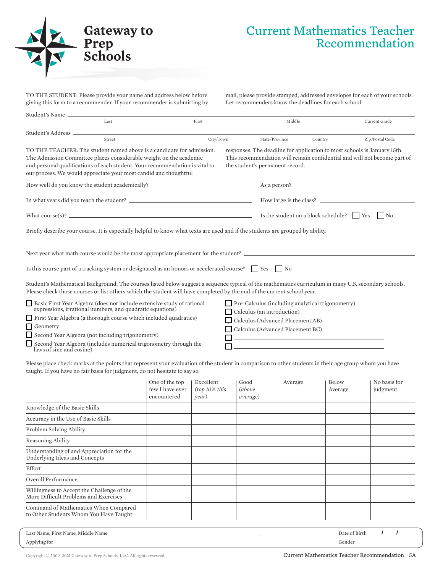

## Current Mathematics Teacher Recommendation

TO THE STUDENT: Please provide your name and address below before giving this form to a recommender. If your recommender is submitting by mail, please provide stamped, addressed envelopes for each of your schools. Let recommenders know the deadlines for each school.

| Student's Name                                                                                                                                                                                                                                                                                                                                                                                                                                                                                                                                            |                                                  |                                     |                                                                                                           |                                                             |                                                                                                                                                                 |  |                          |  |
|-----------------------------------------------------------------------------------------------------------------------------------------------------------------------------------------------------------------------------------------------------------------------------------------------------------------------------------------------------------------------------------------------------------------------------------------------------------------------------------------------------------------------------------------------------------|--------------------------------------------------|-------------------------------------|-----------------------------------------------------------------------------------------------------------|-------------------------------------------------------------|-----------------------------------------------------------------------------------------------------------------------------------------------------------------|--|--------------------------|--|
| Last                                                                                                                                                                                                                                                                                                                                                                                                                                                                                                                                                      |                                                  | First                               |                                                                                                           | Middle                                                      |                                                                                                                                                                 |  | Current Grade            |  |
| Student's Address _                                                                                                                                                                                                                                                                                                                                                                                                                                                                                                                                       |                                                  |                                     |                                                                                                           |                                                             |                                                                                                                                                                 |  |                          |  |
| Street<br>TO THE TEACHER: The student named above is a candidate for admission.<br>The Admission Committee places considerable weight on the academic<br>and personal qualifications of each student. Your recommendation is vital to<br>our process. We would appreciate your most candid and thoughtful                                                                                                                                                                                                                                                 |                                                  | City/Town                           | the student's permanent record.                                                                           | State/Province                                              | Country<br>responses. The deadline for application to most schools is January 15th.<br>This recommendation will remain confidential and will not become part of |  | Zip/Postal Code          |  |
| How well do you know the student academically? _________________________________                                                                                                                                                                                                                                                                                                                                                                                                                                                                          |                                                  |                                     |                                                                                                           |                                                             |                                                                                                                                                                 |  |                          |  |
|                                                                                                                                                                                                                                                                                                                                                                                                                                                                                                                                                           |                                                  |                                     | How large is the class?                                                                                   |                                                             |                                                                                                                                                                 |  |                          |  |
| What course(s)? $\qquad \qquad$                                                                                                                                                                                                                                                                                                                                                                                                                                                                                                                           |                                                  |                                     |                                                                                                           |                                                             | Is the student on a block schedule?     Yes                                                                                                                     |  | $\overline{N}$           |  |
| Briefly describe your course. It is especially helpful to know what texts are used and if the students are grouped by ability.                                                                                                                                                                                                                                                                                                                                                                                                                            |                                                  |                                     |                                                                                                           |                                                             |                                                                                                                                                                 |  |                          |  |
| Next year what math course would be the most appropriate placement for the student?                                                                                                                                                                                                                                                                                                                                                                                                                                                                       |                                                  |                                     |                                                                                                           |                                                             |                                                                                                                                                                 |  |                          |  |
| Is this course part of a tracking system or designated as an honors or accelerated course? $\Box$ Yes                                                                                                                                                                                                                                                                                                                                                                                                                                                     |                                                  |                                     |                                                                                                           | N <sub>0</sub>                                              |                                                                                                                                                                 |  |                          |  |
| Student's Mathematical Background: The courses listed below suggest a sequence typical of the mathematics curriculum in many U.S. secondary schools.<br>Please check those courses or list others which the student will have completed by the end of the current school year.<br>Basic First Year Algebra (does not include extensive study of rational<br>expressions, irrational numbers, and quadratic equations)<br>First Year Algebra (a thorough course which included quadratics)<br>Geometry<br>Second Year Algebra (not including trigonometry) |                                                  |                                     | $\Box$ Calculus (an introduction)<br>Calculus (Advanced Placement AB)<br>Calculus (Advanced Placement BC) |                                                             | $\Box$ Pre-Calculus (including analytical trigonometry)                                                                                                         |  |                          |  |
| Second Year Algebra (includes numerical trigonometry through the<br>laws of sine and cosine)                                                                                                                                                                                                                                                                                                                                                                                                                                                              |                                                  |                                     |                                                                                                           | <u> 1989 - Johann Stoff, Amerikaansk politiker († 1908)</u> |                                                                                                                                                                 |  |                          |  |
| Please place check marks at the points that represent your evaluation of the student in comparison to other students in their age group whom you have<br>taught. If you have no fair basis for judgment, do not hesitate to say so.                                                                                                                                                                                                                                                                                                                       |                                                  |                                     |                                                                                                           |                                                             |                                                                                                                                                                 |  |                          |  |
|                                                                                                                                                                                                                                                                                                                                                                                                                                                                                                                                                           | One of the top<br>few I have ever<br>encountered | Excellent<br>(top 10% this<br>year) | Good<br><i>(above</i><br>average)                                                                         | Average                                                     | <b>Below</b><br>Average                                                                                                                                         |  | No basis for<br>judgment |  |
| Knowledge of the Basic Skills                                                                                                                                                                                                                                                                                                                                                                                                                                                                                                                             |                                                  |                                     |                                                                                                           |                                                             |                                                                                                                                                                 |  |                          |  |
| Accuracy in the Use of Basic Skills                                                                                                                                                                                                                                                                                                                                                                                                                                                                                                                       |                                                  |                                     |                                                                                                           |                                                             |                                                                                                                                                                 |  |                          |  |
| Problem Solving Ability                                                                                                                                                                                                                                                                                                                                                                                                                                                                                                                                   |                                                  |                                     |                                                                                                           |                                                             |                                                                                                                                                                 |  |                          |  |
| Reasoning Ability                                                                                                                                                                                                                                                                                                                                                                                                                                                                                                                                         |                                                  |                                     |                                                                                                           |                                                             |                                                                                                                                                                 |  |                          |  |
| Understanding of and Appreciation for the<br>Underlying Ideas and Concepts                                                                                                                                                                                                                                                                                                                                                                                                                                                                                |                                                  |                                     |                                                                                                           |                                                             |                                                                                                                                                                 |  |                          |  |
| Effort                                                                                                                                                                                                                                                                                                                                                                                                                                                                                                                                                    |                                                  |                                     |                                                                                                           |                                                             |                                                                                                                                                                 |  |                          |  |
| Overall Performance                                                                                                                                                                                                                                                                                                                                                                                                                                                                                                                                       |                                                  |                                     |                                                                                                           |                                                             |                                                                                                                                                                 |  |                          |  |
| Willingness to Accept the Challenge of the<br>More Difficult Problems and Exercises                                                                                                                                                                                                                                                                                                                                                                                                                                                                       |                                                  |                                     |                                                                                                           |                                                             |                                                                                                                                                                 |  |                          |  |

Last Name, First Name, Middle Name Date of Birth Command of Mathematics When Compared to Other Students Whom You Have Taught

, ,

Applying for Gender

/ /